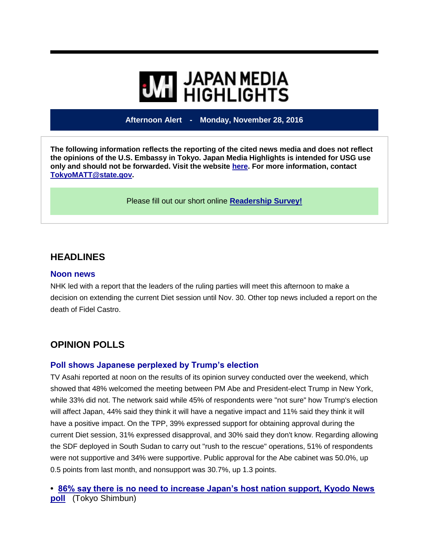# **WE HIGHLIGHTS**

**Afternoon Alert - Monday, November 28, 2016**

**The following information reflects the reporting of the cited news media and does not reflect the opinions of the U.S. Embassy in Tokyo. Japan Media Highlights is intended for USG use only and should not be forwarded. Visit the website [here.](https://jmh.usembassy.gov/) For more information, contact [TokyoMATT@state.gov.](mailto:TokyoMATT@state.gov)**

Please fill out our short online **[Readership Survey!](https://jmh.usembassy.gov/readership-survey/)**

## **HEADLINES**

#### **Noon news**

NHK led with a report that the leaders of the ruling parties will meet this afternoon to make a decision on extending the current Diet session until Nov. 30. Other top news included a report on the death of Fidel Castro.

# **OPINION POLLS**

#### **Poll shows Japanese perplexed by Trump's election**

TV Asahi reported at noon on the results of its opinion survey conducted over the weekend, which showed that 48% welcomed the meeting between PM Abe and President-elect Trump in New York, while 33% did not. The network said while 45% of respondents were "not sure" how Trump's election will affect Japan, 44% said they think it will have a negative impact and 11% said they think it will have a positive impact. On the TPP, 39% expressed support for obtaining approval during the current Diet session, 31% expressed disapproval, and 30% said they don't know. Regarding allowing the SDF deployed in South Sudan to carry out "rush to the rescue" operations, 51% of respondents were not supportive and 34% were supportive. Public approval for the Abe cabinet was 50.0%, up 0.5 points from last month, and nonsupport was 30.7%, up 1.3 points.

**• [86% say there is no need to increase Japan's host nation support, Kyodo News](https://jmh.usembassy.gov/2016112810417/)  [poll](https://jmh.usembassy.gov/2016112810417/)** (Tokyo Shimbun)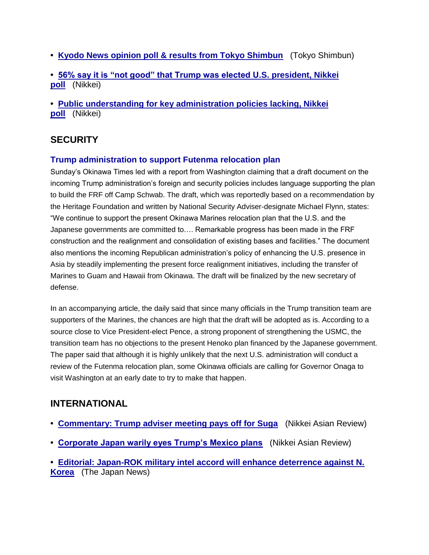- **• [Kyodo News opinion poll & results from Tokyo Shimbun](https://jmh.usembassy.gov/2016112810422/)** (Tokyo Shimbun)
- **• [56% say it is "not good" that Trump was elected U.S. president, Nikkei](https://jmh.usembassy.gov/2016112810413/)  [poll](https://jmh.usembassy.gov/2016112810413/)** (Nikkei)
- **• [Public understanding for key administration policies lacking, Nikkei](https://jmh.usembassy.gov/2016112810424/)  [poll](https://jmh.usembassy.gov/2016112810424/)** (Nikkei)

# **SECURITY**

#### **Trump administration to support Futenma relocation plan**

Sunday's Okinawa Times led with a report from Washington claiming that a draft document on the incoming Trump administration's foreign and security policies includes language supporting the plan to build the FRF off Camp Schwab. The draft, which was reportedly based on a recommendation by the Heritage Foundation and written by National Security Adviser-designate Michael Flynn, states: "We continue to support the present Okinawa Marines relocation plan that the U.S. and the Japanese governments are committed to…. Remarkable progress has been made in the FRF construction and the realignment and consolidation of existing bases and facilities." The document also mentions the incoming Republican administration's policy of enhancing the U.S. presence in Asia by steadily implementing the present force realignment initiatives, including the transfer of Marines to Guam and Hawaii from Okinawa. The draft will be finalized by the new secretary of defense.

In an accompanying article, the daily said that since many officials in the Trump transition team are supporters of the Marines, the chances are high that the draft will be adopted as is. According to a source close to Vice President-elect Pence, a strong proponent of strengthening the USMC, the transition team has no objections to the present Henoko plan financed by the Japanese government. The paper said that although it is highly unlikely that the next U.S. administration will conduct a review of the Futenma relocation plan, some Okinawa officials are calling for Governor Onaga to visit Washington at an early date to try to make that happen.

## **INTERNATIONAL**

- **• [Commentary: Trump adviser meeting pays off for Suga](https://jmh.usembassy.gov/2016112810410/)** (Nikkei Asian Review)
- **• [Corporate Japan warily eyes Trump's Mexico plans](https://jmh.usembassy.gov/2016112810399/)** (Nikkei Asian Review)
- **• [Editorial: Japan-ROK military intel accord will enhance deterrence against N.](https://jmh.usembassy.gov/2016112810372/)  [Korea](https://jmh.usembassy.gov/2016112810372/)** (The Japan News)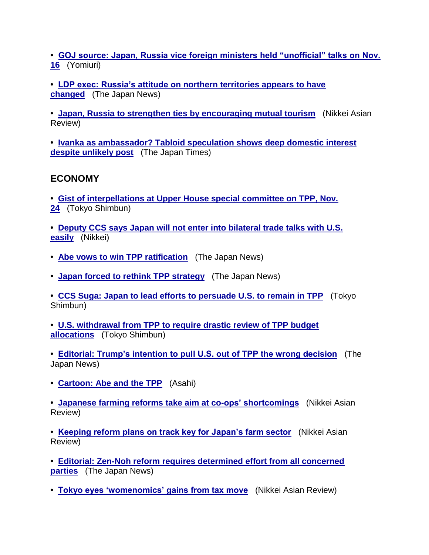**• [GOJ source: Japan, Russia vice foreign ministers held "unofficial" talks on Nov.](https://jmh.usembassy.gov/2016112810373/)  [16](https://jmh.usembassy.gov/2016112810373/)** (Yomiuri)

**• [LDP exec: Russia's attitude on northern territories appears to have](https://jmh.usembassy.gov/2016112810409/)  [changed](https://jmh.usembassy.gov/2016112810409/)** (The Japan News)

**• [Japan, Russia to strengthen ties by encouraging mutual tourism](https://jmh.usembassy.gov/2016112810383/)** (Nikkei Asian Review)

**• [Ivanka as ambassador? Tabloid speculation shows deep domestic interest](https://jmh.usembassy.gov/2016112810361/)  [despite unlikely post](https://jmh.usembassy.gov/2016112810361/)** (The Japan Times)

# **ECONOMY**

**• [Gist of interpellations at Upper House special committee on TPP, Nov.](https://jmh.usembassy.gov/2016112810360/)  [24](https://jmh.usembassy.gov/2016112810360/)** (Tokyo Shimbun)

**• [Deputy CCS says Japan will not enter into bilateral trade talks with U.S.](https://jmh.usembassy.gov/2016112810365/)  [easily](https://jmh.usembassy.gov/2016112810365/)** (Nikkei)

- **• [Abe vows to win TPP ratification](https://jmh.usembassy.gov/2016112810381/)** (The Japan News)
- **• [Japan forced to rethink TPP strategy](https://jmh.usembassy.gov/2016112810419/)** (The Japan News)

**• [CCS Suga: Japan to lead efforts to persuade U.S. to remain in TPP](https://jmh.usembassy.gov/2016112810408/)** (Tokyo Shimbun)

**• [U.S. withdrawal from TPP to require drastic review of TPP budget](https://jmh.usembassy.gov/2016112810382/)  [allocations](https://jmh.usembassy.gov/2016112810382/)** (Tokyo Shimbun)

**• [Editorial: Trump's intention to pull U.S. out of TPP the wrong decision](https://jmh.usembassy.gov/2016112810370/)** (The Japan News)

**• [Cartoon: Abe and the TPP](https://jmh.usembassy.gov/2016112810398/)** (Asahi)

**• [Japanese farming reforms take aim at co-ops' shortcomings](https://jmh.usembassy.gov/2016112810386/)** (Nikkei Asian Review)

**• [Keeping reform plans on track key for Japan's farm sector](https://jmh.usembassy.gov/2016112810387/)** (Nikkei Asian Review)

- **• [Editorial: Zen-Noh reform requires determined effort from all concerned](https://jmh.usembassy.gov/2016112810371/)  [parties](https://jmh.usembassy.gov/2016112810371/)** (The Japan News)
- **• [Tokyo eyes 'womenomics' gains from tax move](https://jmh.usembassy.gov/2016112810415/)** (Nikkei Asian Review)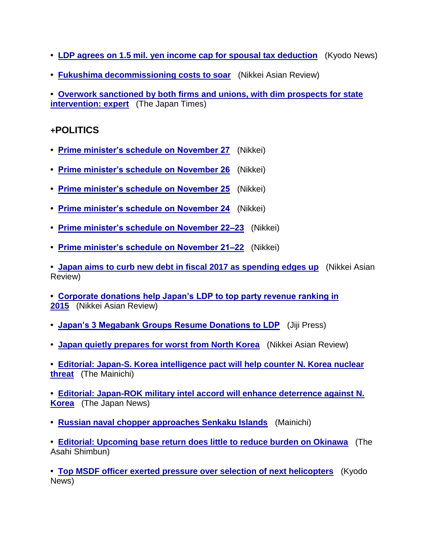- **• [LDP agrees on 1.5 mil. yen income cap for spousal tax deduction](https://jmh.usembassy.gov/2016112810390/)** (Kyodo News)
- **• [Fukushima decommissioning costs to soar](https://jmh.usembassy.gov/2016112810385/)** (Nikkei Asian Review)

**• [Overwork sanctioned by both firms and unions, with dim prospects for state](https://jmh.usembassy.gov/2016112810366/)  [intervention: expert](https://jmh.usembassy.gov/2016112810366/)** (The Japan Times)

## **+POLITICS**

- **• [Prime minister's schedule on November 27](https://jmh.usembassy.gov/2016112810380/)** (Nikkei)
- **• [Prime minister's schedule on November 26](https://jmh.usembassy.gov/2016112810379/)** (Nikkei)
- **• [Prime minister's schedule on November 25](https://jmh.usembassy.gov/2016112810378/)** (Nikkei)
- **• [Prime minister's schedule on November 24](https://jmh.usembassy.gov/2016112810347/)** (Nikkei)
- **• [Prime minister's schedule on November 22–23](https://jmh.usembassy.gov/2016112810345/)** (Nikkei)
- **• [Prime minister's schedule on November 21–22](https://jmh.usembassy.gov/2016112810343/)** (Nikkei)

**• Japan aims to curb new debt [in fiscal 2017 as spending edges up](https://jmh.usembassy.gov/2016112810392/)** (Nikkei Asian Review)

- **• [Corporate donations help Japan's LDP to top party revenue ranking in](https://jmh.usembassy.gov/2016112810388/)  [2015](https://jmh.usembassy.gov/2016112810388/)** (Nikkei Asian Review)
- **• [Japan's 3 Megabank Groups Resume Donations to LDP](https://jmh.usembassy.gov/2016112810418/)** (Jiji Press)
- **• [Japan quietly prepares for worst from North Korea](https://jmh.usembassy.gov/2016112810411/)** (Nikkei Asian Review)
- **• [Editorial: Japan-S. Korea intelligence pact will help counter N. Korea nuclear](https://jmh.usembassy.gov/2016112810374/)  [threat](https://jmh.usembassy.gov/2016112810374/)** (The Mainichi)
- **• [Editorial: Japan-ROK military intel accord will enhance deterrence against N.](https://jmh.usembassy.gov/2016112810372/)  [Korea](https://jmh.usembassy.gov/2016112810372/)** (The Japan News)
- **• [Russian naval chopper approaches Senkaku Islands](https://jmh.usembassy.gov/2016112810357/)** (Mainichi)

**• [Editorial: Upcoming base return does little to reduce burden on Okinawa](https://jmh.usembassy.gov/2016112810406/)** (The Asahi Shimbun)

**• [Top MSDF officer exerted pressure over selection of next helicopters](https://jmh.usembassy.gov/2016112810340/)** (Kyodo News)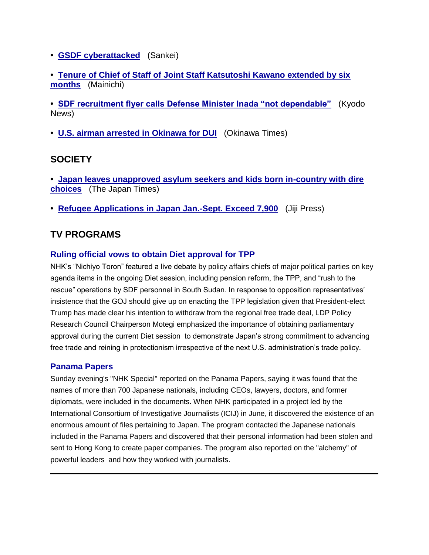- **• [GSDF cyberattacked](https://jmh.usembassy.gov/2016112810384/)** (Sankei)
- **• [Tenure of Chief of Staff of Joint Staff Katsutoshi Kawano extended by six](https://jmh.usembassy.gov/2016112810356/)  [months](https://jmh.usembassy.gov/2016112810356/)** (Mainichi)

**• [SDF recruitment flyer calls Defense Minister Inada "not dependable"](https://jmh.usembassy.gov/2016112810405/)** (Kyodo News)

**• [U.S. airman arrested in Okinawa for DUI](https://jmh.usembassy.gov/2016112810396/)** (Okinawa Times)

## **SOCIETY**

- **• [Japan leaves unapproved asylum seekers and kids born in-country with dire](https://jmh.usembassy.gov/2016112810369/)  [choices](https://jmh.usembassy.gov/2016112810369/)** (The Japan Times)
- **• [Refugee Applications in Japan Jan.-Sept. Exceed 7,900](https://jmh.usembassy.gov/2016112810402/)** (Jiji Press)

# **TV PROGRAMS**

### **Ruling official vows to obtain Diet approval for TPP**

NHK's "Nichiyo Toron" featured a live debate by policy affairs chiefs of major political parties on key agenda items in the ongoing Diet session, including pension reform, the TPP, and "rush to the rescue" operations by SDF personnel in South Sudan. In response to opposition representatives' insistence that the GOJ should give up on enacting the TPP legislation given that President-elect Trump has made clear his intention to withdraw from the regional free trade deal, LDP Policy Research Council Chairperson Motegi emphasized the importance of obtaining parliamentary approval during the current Diet session to demonstrate Japan's strong commitment to advancing free trade and reining in protectionism irrespective of the next U.S. administration's trade policy.

#### **Panama Papers**

Sunday evening's "NHK Special" reported on the Panama Papers, saying it was found that the names of more than 700 Japanese nationals, including CEOs, lawyers, doctors, and former diplomats, were included in the documents. When NHK participated in a project led by the International Consortium of Investigative Journalists (ICIJ) in June, it discovered the existence of an enormous amount of files pertaining to Japan. The program contacted the Japanese nationals included in the Panama Papers and discovered that their personal information had been stolen and sent to Hong Kong to create paper companies. The program also reported on the "alchemy" of powerful leaders and how they worked with journalists.